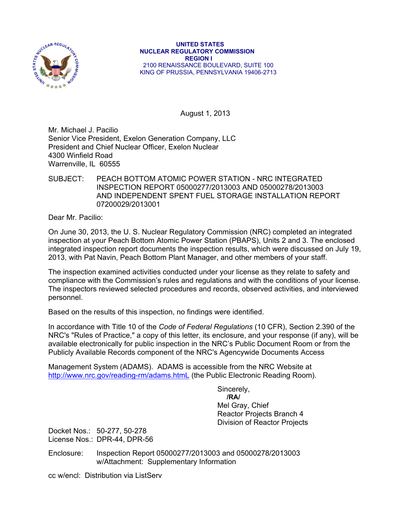

#### **UNITED STATES NUCLEAR REGULATORY COMMISSION REGION I**  2100 RENAISSANCE BOULEVARD, SUITE 100 KING OF PRUSSIA, PENNSYLVANIA 19406-2713

August 1, 2013

Mr. Michael J. Pacilio Senior Vice President, Exelon Generation Company, LLC President and Chief Nuclear Officer, Exelon Nuclear 4300 Winfield Road Warrenville, IL 60555

## SUBJECT: PEACH BOTTOM ATOMIC POWER STATION - NRC INTEGRATED INSPECTION REPORT 05000277/2013003 AND 05000278/2013003 AND INDEPENDENT SPENT FUEL STORAGE INSTALLATION REPORT 07200029/2013001

Dear Mr. Pacilio:

On June 30, 2013, the U. S. Nuclear Regulatory Commission (NRC) completed an integrated inspection at your Peach Bottom Atomic Power Station (PBAPS), Units 2 and 3. The enclosed integrated inspection report documents the inspection results, which were discussed on July 19, 2013, with Pat Navin, Peach Bottom Plant Manager, and other members of your staff.

The inspection examined activities conducted under your license as they relate to safety and compliance with the Commission's rules and regulations and with the conditions of your license. The inspectors reviewed selected procedures and records, observed activities, and interviewed personnel.

Based on the results of this inspection, no findings were identified.

In accordance with Title 10 of the *Code of Federal Regulations* (10 CFR), Section 2.390 of the NRC's "Rules of Practice," a copy of this letter, its enclosure, and your response (if any), will be available electronically for public inspection in the NRC's Public Document Room or from the Publicly Available Records component of the NRC's Agencywide Documents Access

Management System (ADAMS). ADAMS is accessible from the NRC Website at http://www.nrc.gov/reading-rm/adams.htmL (the Public Electronic Reading Room).

 Sincerely, **/RA/**  Mel Gray, Chief Reactor Projects Branch 4 Division of Reactor Projects

Docket Nos.: 50-277, 50-278 License Nos.: DPR-44, DPR-56

Enclosure: Inspection Report 05000277/2013003 and 05000278/2013003 w/Attachment: Supplementary Information

cc w/encl: Distribution via ListServ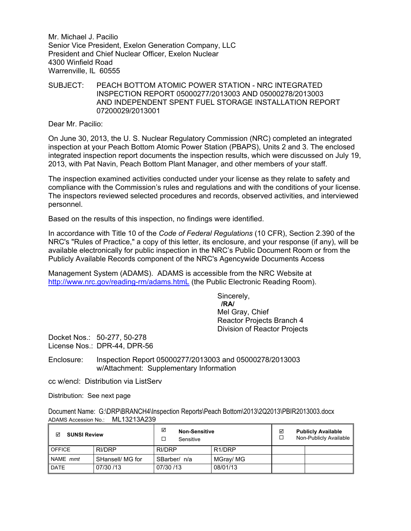Mr. Michael J. Pacilio Senior Vice President, Exelon Generation Company, LLC President and Chief Nuclear Officer, Exelon Nuclear 4300 Winfield Road Warrenville, IL 60555

## SUBJECT: PEACH BOTTOM ATOMIC POWER STATION - NRC INTEGRATED INSPECTION REPORT 05000277/2013003 AND 05000278/2013003 AND INDEPENDENT SPENT FUEL STORAGE INSTALLATION REPORT 07200029/2013001

Dear Mr. Pacilio:

On June 30, 2013, the U. S. Nuclear Regulatory Commission (NRC) completed an integrated inspection at your Peach Bottom Atomic Power Station (PBAPS), Units 2 and 3. The enclosed integrated inspection report documents the inspection results, which were discussed on July 19, 2013, with Pat Navin, Peach Bottom Plant Manager, and other members of your staff.

The inspection examined activities conducted under your license as they relate to safety and compliance with the Commission's rules and regulations and with the conditions of your license. The inspectors reviewed selected procedures and records, observed activities, and interviewed personnel.

Based on the results of this inspection, no findings were identified.

In accordance with Title 10 of the *Code of Federal Regulations* (10 CFR), Section 2.390 of the NRC's "Rules of Practice," a copy of this letter, its enclosure, and your response (if any), will be available electronically for public inspection in the NRC's Public Document Room or from the Publicly Available Records component of the NRC's Agencywide Documents Access

Management System (ADAMS). ADAMS is accessible from the NRC Website at http://www.nrc.gov/reading-rm/adams.htmL (the Public Electronic Reading Room).

> Sincerely,  **/RA/**  Mel Gray, Chief Reactor Projects Branch 4 Division of Reactor Projects

Docket Nos.: 50-277, 50-278 License Nos.: DPR-44, DPR-56

Enclosure: Inspection Report 05000277/2013003 and 05000278/2013003 w/Attachment: Supplementary Information

cc w/encl: Distribution via ListServ

Distribution: See next page

Document Name: G:\DRP\BRANCH4\Inspection Reports\Peach Bottom\2013\2Q2013\PBIR2013003.docx ADAMS Accession No.: ML13213A239

| <b>SUNSI Review</b><br>☑ |                  | ☑<br><b>Non-Sensitive</b><br>Sensitive |                     | ⊽ | <b>Publicly Available</b><br>Non-Publicly Available |
|--------------------------|------------------|----------------------------------------|---------------------|---|-----------------------------------------------------|
| <b>OFFICE</b>            | RI/DRP           | RI/DRP                                 | R <sub>1</sub> /DRP |   |                                                     |
| NAME mmt                 | SHansell/ MG for | SBarber/ n/a                           | MGray/ MG           |   |                                                     |
| <b>DATE</b>              | 07/30 /13        | 07/30 /13                              | 08/01/13            |   |                                                     |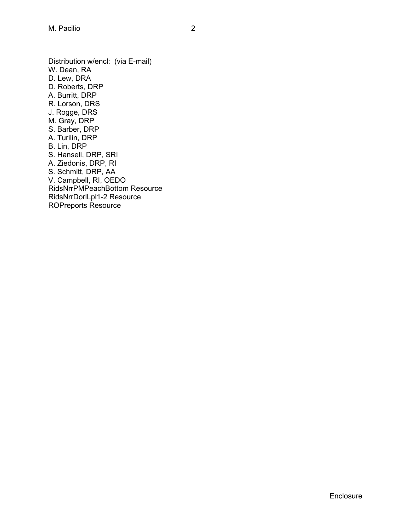Distribution w/encl: (via E-mail) W. Dean, RA D. Lew, DRA D. Roberts, DRP A. Burritt, DRP R. Lorson, DRS J. Rogge, DRS M. Gray, DRP S. Barber, DRP A. Turilin, DRP B. Lin, DRP S. Hansell, DRP, SRI A. Ziedonis, DRP, RI S. Schmitt, DRP, AA V. Campbell, RI, OEDO RidsNrrPMPeachBottom Resource RidsNrrDorlLpl1-2 Resource ROPreports Resource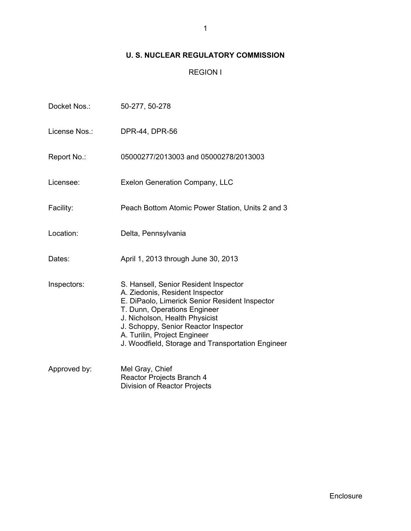# **U. S. NUCLEAR REGULATORY COMMISSION**

## REGION I

| Docket Nos.:  | 50-277, 50-278                                                                                                                                                                                                                                                                                                            |
|---------------|---------------------------------------------------------------------------------------------------------------------------------------------------------------------------------------------------------------------------------------------------------------------------------------------------------------------------|
| License Nos.: | DPR-44, DPR-56                                                                                                                                                                                                                                                                                                            |
| Report No.:   | 05000277/2013003 and 05000278/2013003                                                                                                                                                                                                                                                                                     |
| Licensee:     | <b>Exelon Generation Company, LLC</b>                                                                                                                                                                                                                                                                                     |
| Facility:     | Peach Bottom Atomic Power Station, Units 2 and 3                                                                                                                                                                                                                                                                          |
| Location:     | Delta, Pennsylvania                                                                                                                                                                                                                                                                                                       |
| Dates:        | April 1, 2013 through June 30, 2013                                                                                                                                                                                                                                                                                       |
| Inspectors:   | S. Hansell, Senior Resident Inspector<br>A. Ziedonis, Resident Inspector<br>E. DiPaolo, Limerick Senior Resident Inspector<br>T. Dunn, Operations Engineer<br>J. Nicholson, Health Physicist<br>J. Schoppy, Senior Reactor Inspector<br>A. Turilin, Project Engineer<br>J. Woodfield, Storage and Transportation Engineer |
| Approved by:  | Mel Gray, Chief<br>Reactor Projects Branch 4<br>Division of Reactor Projects                                                                                                                                                                                                                                              |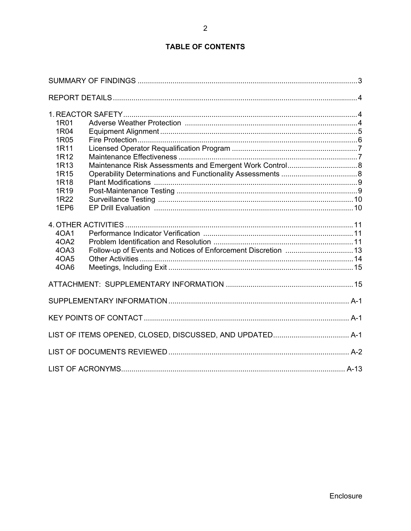# **TABLE OF CONTENTS**

| 1R01<br>1R04<br>1R05<br>1R11<br>1R <sub>12</sub><br>1R <sub>13</sub><br>1R <sub>15</sub><br>1R <sub>18</sub><br>1R <sub>19</sub><br>1R22<br>1EP6 |                                                               |  |
|--------------------------------------------------------------------------------------------------------------------------------------------------|---------------------------------------------------------------|--|
| 40A1<br>4OA2<br>4OA3<br>40A5<br>4OA6                                                                                                             | Follow-up of Events and Notices of Enforcement Discretion  13 |  |
|                                                                                                                                                  |                                                               |  |
|                                                                                                                                                  |                                                               |  |
|                                                                                                                                                  |                                                               |  |
|                                                                                                                                                  |                                                               |  |
|                                                                                                                                                  |                                                               |  |
|                                                                                                                                                  |                                                               |  |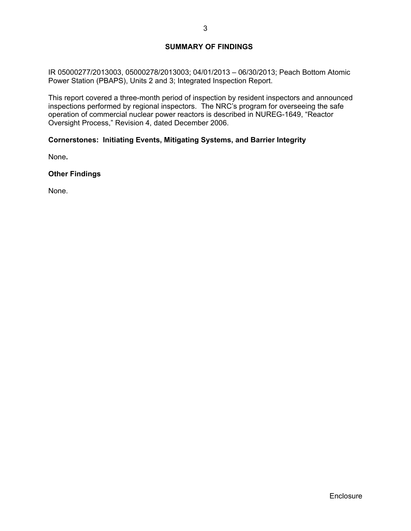## **SUMMARY OF FINDINGS**

IR 05000277/2013003, 05000278/2013003; 04/01/2013 – 06/30/2013; Peach Bottom Atomic Power Station (PBAPS), Units 2 and 3; Integrated Inspection Report.

This report covered a three-month period of inspection by resident inspectors and announced inspections performed by regional inspectors. The NRC's program for overseeing the safe operation of commercial nuclear power reactors is described in NUREG-1649, "Reactor Oversight Process," Revision 4, dated December 2006.

## **Cornerstones: Initiating Events, Mitigating Systems, and Barrier Integrity**

None**.** 

**Other Findings** 

None.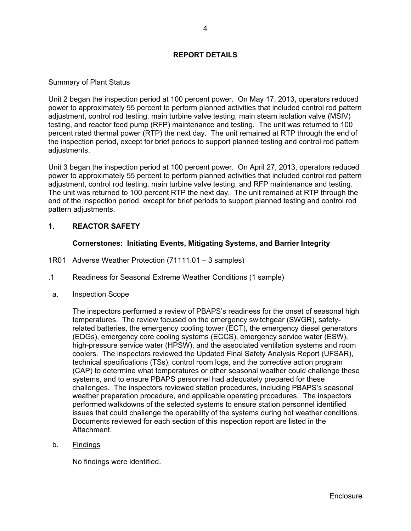## **REPORT DETAILS**

## Summary of Plant Status

Unit 2 began the inspection period at 100 percent power. On May 17, 2013, operators reduced power to approximately 55 percent to perform planned activities that included control rod pattern adjustment, control rod testing, main turbine valve testing, main steam isolation valve (MSIV) testing, and reactor feed pump (RFP) maintenance and testing. The unit was returned to 100 percent rated thermal power (RTP) the next day. The unit remained at RTP through the end of the inspection period, except for brief periods to support planned testing and control rod pattern adjustments.

Unit 3 began the inspection period at 100 percent power. On April 27, 2013, operators reduced power to approximately 55 percent to perform planned activities that included control rod pattern adjustment, control rod testing, main turbine valve testing, and RFP maintenance and testing. The unit was returned to 100 percent RTP the next day. The unit remained at RTP through the end of the inspection period, except for brief periods to support planned testing and control rod pattern adjustments.

## **1. REACTOR SAFETY**

## **Cornerstones: Initiating Events, Mitigating Systems, and Barrier Integrity**

- 1R01 Adverse Weather Protection (71111.01 3 samples)
- .1 Readiness for Seasonal Extreme Weather Conditions (1 sample)
- a. Inspection Scope

The inspectors performed a review of PBAPS's readiness for the onset of seasonal high temperatures. The review focused on the emergency switchgear (SWGR), safetyrelated batteries, the emergency cooling tower (ECT), the emergency diesel generators (EDGs), emergency core cooling systems (ECCS), emergency service water (ESW), high-pressure service water (HPSW), and the associated ventilation systems and room coolers. The inspectors reviewed the Updated Final Safety Analysis Report (UFSAR), technical specifications (TSs), control room logs, and the corrective action program (CAP) to determine what temperatures or other seasonal weather could challenge these systems, and to ensure PBAPS personnel had adequately prepared for these challenges. The inspectors reviewed station procedures, including PBAPS's seasonal weather preparation procedure, and applicable operating procedures. The inspectors performed walkdowns of the selected systems to ensure station personnel identified issues that could challenge the operability of the systems during hot weather conditions. Documents reviewed for each section of this inspection report are listed in the Attachment.

b. Findings

No findings were identified.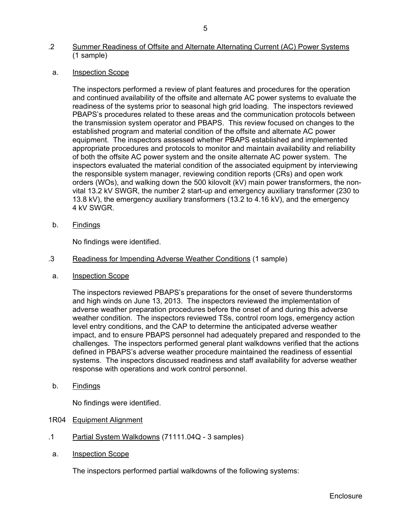## .2 Summer Readiness of Offsite and Alternate Alternating Current (AC) Power Systems (1 sample)

a. Inspection Scope

The inspectors performed a review of plant features and procedures for the operation and continued availability of the offsite and alternate AC power systems to evaluate the readiness of the systems prior to seasonal high grid loading. The inspectors reviewed PBAPS's procedures related to these areas and the communication protocols between the transmission system operator and PBAPS. This review focused on changes to the established program and material condition of the offsite and alternate AC power equipment. The inspectors assessed whether PBAPS established and implemented appropriate procedures and protocols to monitor and maintain availability and reliability of both the offsite AC power system and the onsite alternate AC power system. The inspectors evaluated the material condition of the associated equipment by interviewing the responsible system manager, reviewing condition reports (CRs) and open work orders (WOs), and walking down the 500 kilovolt (kV) main power transformers, the nonvital 13.2 kV SWGR, the number 2 start-up and emergency auxiliary transformer (230 to 13.8 kV), the emergency auxiliary transformers (13.2 to 4.16 kV), and the emergency 4 kV SWGR.

b. Findings

No findings were identified.

- .3 Readiness for Impending Adverse Weather Conditions (1 sample)
- a. Inspection Scope

The inspectors reviewed PBAPS's preparations for the onset of severe thunderstorms and high winds on June 13, 2013. The inspectors reviewed the implementation of adverse weather preparation procedures before the onset of and during this adverse weather condition. The inspectors reviewed TSs, control room logs, emergency action level entry conditions, and the CAP to determine the anticipated adverse weather impact, and to ensure PBAPS personnel had adequately prepared and responded to the challenges. The inspectors performed general plant walkdowns verified that the actions defined in PBAPS's adverse weather procedure maintained the readiness of essential systems. The inspectors discussed readiness and staff availability for adverse weather response with operations and work control personnel.

b. Findings

No findings were identified.

- 1R04 Equipment Alignment
- .1 Partial System Walkdowns (71111.04Q 3 samples)
- a. Inspection Scope

The inspectors performed partial walkdowns of the following systems: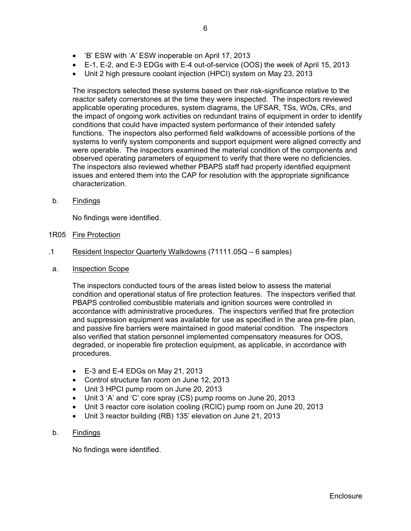- 'B' ESW with 'A' ESW inoperable on April 17, 2013
- E-1, E-2, and E-3 EDGs with E-4 out-of-service (OOS) the week of April 15, 2013
- Unit 2 high pressure coolant injection (HPCI) system on May 23, 2013

The inspectors selected these systems based on their risk-significance relative to the reactor safety cornerstones at the time they were inspected. The inspectors reviewed applicable operating procedures, system diagrams, the UFSAR, TSs, WOs, CRs, and the impact of ongoing work activities on redundant trains of equipment in order to identify conditions that could have impacted system performance of their intended safety functions. The inspectors also performed field walkdowns of accessible portions of the systems to verify system components and support equipment were aligned correctly and were operable. The inspectors examined the material condition of the components and observed operating parameters of equipment to verify that there were no deficiencies. The inspectors also reviewed whether PBAPS staff had properly identified equipment issues and entered them into the CAP for resolution with the appropriate significance characterization.

b. Findings

No findings were identified.

- 1R05 Fire Protection
- .1 Resident Inspector Quarterly Walkdowns (71111.05Q 6 samples)
- a. Inspection Scope

The inspectors conducted tours of the areas listed below to assess the material condition and operational status of fire protection features. The inspectors verified that PBAPS controlled combustible materials and ignition sources were controlled in accordance with administrative procedures. The inspectors verified that fire protection and suppression equipment was available for use as specified in the area pre-fire plan, and passive fire barriers were maintained in good material condition. The inspectors also verified that station personnel implemented compensatory measures for OOS, degraded, or inoperable fire protection equipment, as applicable, in accordance with procedures.

- $\bullet$  E-3 and E-4 EDGs on May 21, 2013
- Control structure fan room on June 12, 2013
- Unit 3 HPCI pump room on June 20, 2013
- Unit 3 'A' and 'C' core spray (CS) pump rooms on June 20, 2013
- Unit 3 reactor core isolation cooling (RCIC) pump room on June 20, 2013
- Unit 3 reactor building (RB) 135' elevation on June 21, 2013
- b. Findings

No findings were identified.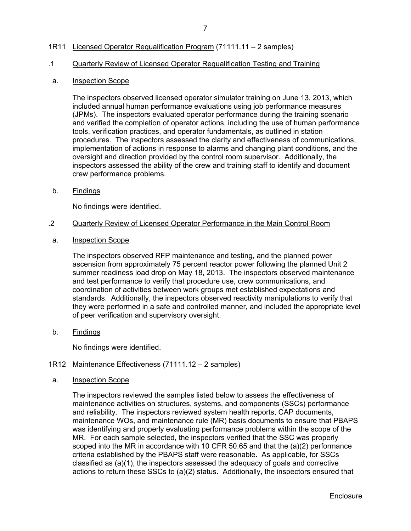## 1R11 Licensed Operator Requalification Program (71111.11 – 2 samples)

## .1 Quarterly Review of Licensed Operator Requalification Testing and Training

#### a. **Inspection Scope**

The inspectors observed licensed operator simulator training on June 13, 2013, which included annual human performance evaluations using job performance measures (JPMs). The inspectors evaluated operator performance during the training scenario and verified the completion of operator actions, including the use of human performance tools, verification practices, and operator fundamentals, as outlined in station procedures. The inspectors assessed the clarity and effectiveness of communications, implementation of actions in response to alarms and changing plant conditions, and the oversight and direction provided by the control room supervisor. Additionally, the inspectors assessed the ability of the crew and training staff to identify and document crew performance problems.

b. Findings

No findings were identified.

#### .2 Quarterly Review of Licensed Operator Performance in the Main Control Room

a. Inspection Scope

The inspectors observed RFP maintenance and testing, and the planned power ascension from approximately 75 percent reactor power following the planned Unit 2 summer readiness load drop on May 18, 2013. The inspectors observed maintenance and test performance to verify that procedure use, crew communications, and coordination of activities between work groups met established expectations and standards. Additionally, the inspectors observed reactivity manipulations to verify that they were performed in a safe and controlled manner, and included the appropriate level of peer verification and supervisory oversight.

b. Findings

No findings were identified.

## 1R12 Maintenance Effectiveness (71111.12 – 2 samples)

a. Inspection Scope

The inspectors reviewed the samples listed below to assess the effectiveness of maintenance activities on structures, systems, and components (SSCs) performance and reliability. The inspectors reviewed system health reports, CAP documents, maintenance WOs, and maintenance rule (MR) basis documents to ensure that PBAPS was identifying and properly evaluating performance problems within the scope of the MR. For each sample selected, the inspectors verified that the SSC was properly scoped into the MR in accordance with 10 CFR 50.65 and that the (a)(2) performance criteria established by the PBAPS staff were reasonable. As applicable, for SSCs classified as (a)(1), the inspectors assessed the adequacy of goals and corrective actions to return these SSCs to (a)(2) status. Additionally, the inspectors ensured that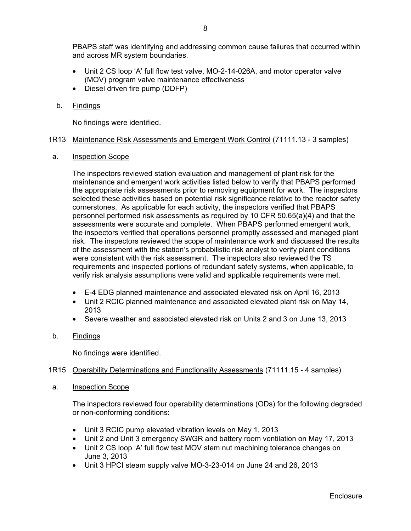PBAPS staff was identifying and addressing common cause failures that occurred within and across MR system boundaries.

- Unit 2 CS loop 'A' full flow test valve, MO-2-14-026A, and motor operator valve (MOV) program valve maintenance effectiveness
- Diesel driven fire pump (DDFP)

### b. Findings

No findings were identified.

#### 1R13 Maintenance Risk Assessments and Emergent Work Control (71111.13 - 3 samples)

a. Inspection Scope

The inspectors reviewed station evaluation and management of plant risk for the maintenance and emergent work activities listed below to verify that PBAPS performed the appropriate risk assessments prior to removing equipment for work. The inspectors selected these activities based on potential risk significance relative to the reactor safety cornerstones. As applicable for each activity, the inspectors verified that PBAPS personnel performed risk assessments as required by 10 CFR 50.65(a)(4) and that the assessments were accurate and complete. When PBAPS performed emergent work, the inspectors verified that operations personnel promptly assessed and managed plant risk. The inspectors reviewed the scope of maintenance work and discussed the results of the assessment with the station's probabilistic risk analyst to verify plant conditions were consistent with the risk assessment. The inspectors also reviewed the TS requirements and inspected portions of redundant safety systems, when applicable, to verify risk analysis assumptions were valid and applicable requirements were met.

- E-4 EDG planned maintenance and associated elevated risk on April 16, 2013
- Unit 2 RCIC planned maintenance and associated elevated plant risk on May 14, 2013
- Severe weather and associated elevated risk on Units 2 and 3 on June 13, 2013
- b. Findings

No findings were identified.

### 1R15 Operability Determinations and Functionality Assessments (71111.15 - 4 samples)

a. Inspection Scope

The inspectors reviewed four operability determinations (ODs) for the following degraded or non-conforming conditions:

- Unit 3 RCIC pump elevated vibration levels on May 1, 2013
- Unit 2 and Unit 3 emergency SWGR and battery room ventilation on May 17, 2013
- Unit 2 CS loop 'A' full flow test MOV stem nut machining tolerance changes on June 3, 2013
- Unit 3 HPCI steam supply valve MO-3-23-014 on June 24 and 26, 2013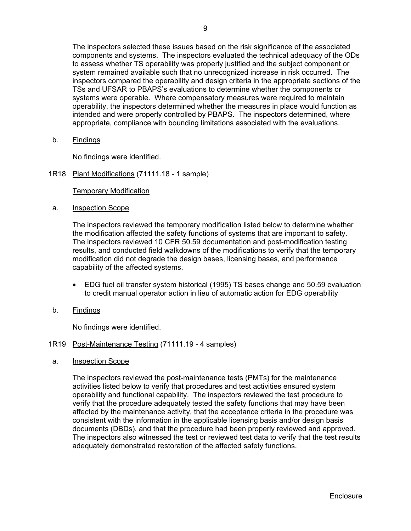The inspectors selected these issues based on the risk significance of the associated components and systems. The inspectors evaluated the technical adequacy of the ODs to assess whether TS operability was properly justified and the subject component or system remained available such that no unrecognized increase in risk occurred. The inspectors compared the operability and design criteria in the appropriate sections of the TSs and UFSAR to PBAPS's evaluations to determine whether the components or systems were operable. Where compensatory measures were required to maintain operability, the inspectors determined whether the measures in place would function as intended and were properly controlled by PBAPS. The inspectors determined, where appropriate, compliance with bounding limitations associated with the evaluations.

b. Findings

No findings were identified.

1R18 Plant Modifications (71111.18 - 1 sample)

## Temporary Modification

a. Inspection Scope

The inspectors reviewed the temporary modification listed below to determine whether the modification affected the safety functions of systems that are important to safety. The inspectors reviewed 10 CFR 50.59 documentation and post-modification testing results, and conducted field walkdowns of the modifications to verify that the temporary modification did not degrade the design bases, licensing bases, and performance capability of the affected systems.

- EDG fuel oil transfer system historical (1995) TS bases change and 50.59 evaluation to credit manual operator action in lieu of automatic action for EDG operability
- b. Findings

No findings were identified.

### 1R19 Post-Maintenance Testing (71111.19 - 4 samples)

a. Inspection Scope

The inspectors reviewed the post-maintenance tests (PMTs) for the maintenance activities listed below to verify that procedures and test activities ensured system operability and functional capability. The inspectors reviewed the test procedure to verify that the procedure adequately tested the safety functions that may have been affected by the maintenance activity, that the acceptance criteria in the procedure was consistent with the information in the applicable licensing basis and/or design basis documents (DBDs), and that the procedure had been properly reviewed and approved. The inspectors also witnessed the test or reviewed test data to verify that the test results adequately demonstrated restoration of the affected safety functions.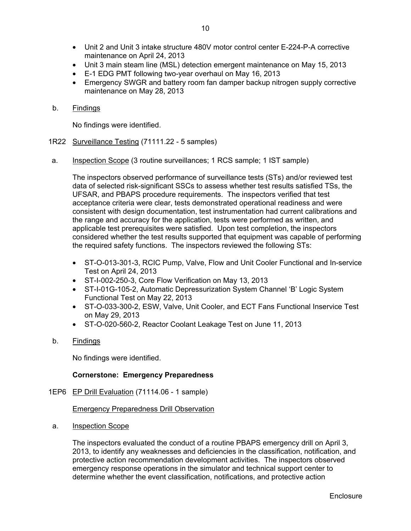- Unit 2 and Unit 3 intake structure 480V motor control center E-224-P-A corrective maintenance on April 24, 2013
- Unit 3 main steam line (MSL) detection emergent maintenance on May 15, 2013
- E-1 EDG PMT following two-year overhaul on May 16, 2013
- Emergency SWGR and battery room fan damper backup nitrogen supply corrective maintenance on May 28, 2013
- b. Findings

No findings were identified.

- 1R22 Surveillance Testing (71111.22 5 samples)
- a. Inspection Scope (3 routine surveillances; 1 RCS sample; 1 IST sample)

The inspectors observed performance of surveillance tests (STs) and/or reviewed test data of selected risk-significant SSCs to assess whether test results satisfied TSs, the UFSAR, and PBAPS procedure requirements. The inspectors verified that test acceptance criteria were clear, tests demonstrated operational readiness and were consistent with design documentation, test instrumentation had current calibrations and the range and accuracy for the application, tests were performed as written, and applicable test prerequisites were satisfied. Upon test completion, the inspectors considered whether the test results supported that equipment was capable of performing the required safety functions. The inspectors reviewed the following STs:

- ST-O-013-301-3, RCIC Pump, Valve, Flow and Unit Cooler Functional and In-service Test on April 24, 2013
- ST-I-002-250-3, Core Flow Verification on May 13, 2013
- ST-I-01G-105-2, Automatic Depressurization System Channel 'B' Logic System Functional Test on May 22, 2013
- ST-O-033-300-2, ESW, Valve, Unit Cooler, and ECT Fans Functional Inservice Test on May 29, 2013
- ST-O-020-560-2, Reactor Coolant Leakage Test on June 11, 2013
- b. Findings

No findings were identified.

## **Cornerstone: Emergency Preparedness**

1EP6 EP Drill Evaluation (71114.06 - 1 sample)

Emergency Preparedness Drill Observation

a. Inspection Scope

The inspectors evaluated the conduct of a routine PBAPS emergency drill on April 3, 2013, to identify any weaknesses and deficiencies in the classification, notification, and protective action recommendation development activities. The inspectors observed emergency response operations in the simulator and technical support center to determine whether the event classification, notifications, and protective action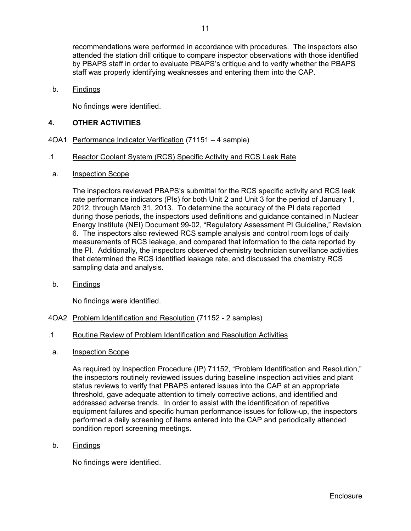recommendations were performed in accordance with procedures. The inspectors also attended the station drill critique to compare inspector observations with those identified by PBAPS staff in order to evaluate PBAPS's critique and to verify whether the PBAPS staff was properly identifying weaknesses and entering them into the CAP.

b. Findings

No findings were identified.

## **4. OTHER ACTIVITIES**

- 4OA1 Performance Indicator Verification (71151 4 sample)
- .1 Reactor Coolant System (RCS) Specific Activity and RCS Leak Rate
- a. Inspection Scope

The inspectors reviewed PBAPS's submittal for the RCS specific activity and RCS leak rate performance indicators (PIs) for both Unit 2 and Unit 3 for the period of January 1, 2012, through March 31, 2013. To determine the accuracy of the PI data reported during those periods, the inspectors used definitions and guidance contained in Nuclear Energy Institute (NEI) Document 99-02, "Regulatory Assessment PI Guideline," Revision 6. The inspectors also reviewed RCS sample analysis and control room logs of daily measurements of RCS leakage, and compared that information to the data reported by the PI. Additionally, the inspectors observed chemistry technician surveillance activities that determined the RCS identified leakage rate, and discussed the chemistry RCS sampling data and analysis.

b. Findings

No findings were identified.

- 4OA2 Problem Identification and Resolution (71152 2 samples)
- .1 Routine Review of Problem Identification and Resolution Activities
- a. Inspection Scope

As required by Inspection Procedure (IP) 71152, "Problem Identification and Resolution," the inspectors routinely reviewed issues during baseline inspection activities and plant status reviews to verify that PBAPS entered issues into the CAP at an appropriate threshold, gave adequate attention to timely corrective actions, and identified and addressed adverse trends. In order to assist with the identification of repetitive equipment failures and specific human performance issues for follow-up, the inspectors performed a daily screening of items entered into the CAP and periodically attended condition report screening meetings.

b. Findings

No findings were identified.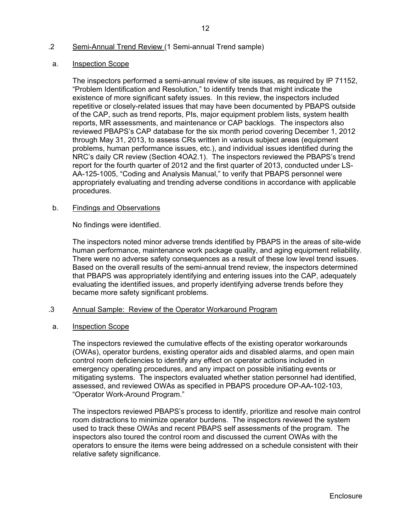## .2 Semi-Annual Trend Review (1 Semi-annual Trend sample)

#### a. Inspection Scope

The inspectors performed a semi-annual review of site issues, as required by IP 71152, "Problem Identification and Resolution," to identify trends that might indicate the existence of more significant safety issues. In this review, the inspectors included repetitive or closely-related issues that may have been documented by PBAPS outside of the CAP, such as trend reports, PIs, major equipment problem lists, system health reports, MR assessments, and maintenance or CAP backlogs. The inspectors also reviewed PBAPS's CAP database for the six month period covering December 1, 2012 through May 31, 2013, to assess CRs written in various subject areas (equipment problems, human performance issues, etc.), and individual issues identified during the NRC's daily CR review (Section 4OA2.1). The inspectors reviewed the PBAPS's trend report for the fourth quarter of 2012 and the first quarter of 2013, conducted under LS-AA-125-1005, "Coding and Analysis Manual," to verify that PBAPS personnel were appropriately evaluating and trending adverse conditions in accordance with applicable procedures.

## b. Findings and Observations

No findings were identified.

The inspectors noted minor adverse trends identified by PBAPS in the areas of site-wide human performance, maintenance work package quality, and aging equipment reliability. There were no adverse safety consequences as a result of these low level trend issues. Based on the overall results of the semi-annual trend review, the inspectors determined that PBAPS was appropriately identifying and entering issues into the CAP, adequately evaluating the identified issues, and properly identifying adverse trends before they became more safety significant problems.

### .3 Annual Sample: Review of the Operator Workaround Program

#### a. Inspection Scope

The inspectors reviewed the cumulative effects of the existing operator workarounds (OWAs), operator burdens, existing operator aids and disabled alarms, and open main control room deficiencies to identify any effect on operator actions included in emergency operating procedures, and any impact on possible initiating events or mitigating systems. The inspectors evaluated whether station personnel had identified, assessed, and reviewed OWAs as specified in PBAPS procedure OP-AA-102-103, "Operator Work-Around Program."

The inspectors reviewed PBAPS's process to identify, prioritize and resolve main control room distractions to minimize operator burdens. The inspectors reviewed the system used to track these OWAs and recent PBAPS self assessments of the program. The inspectors also toured the control room and discussed the current OWAs with the operators to ensure the items were being addressed on a schedule consistent with their relative safety significance.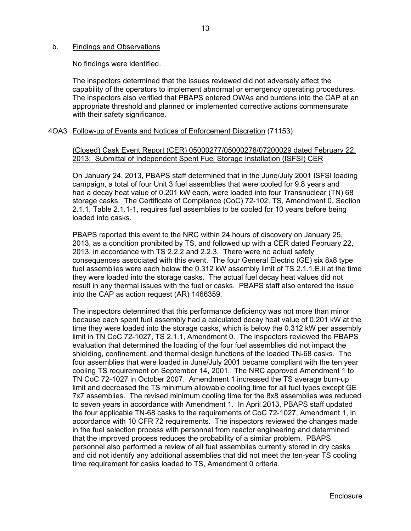#### b. Findings and Observations

No findings were identified.

The inspectors determined that the issues reviewed did not adversely affect the capability of the operators to implement abnormal or emergency operating procedures. The inspectors also verified that PBAPS entered OWAs and burdens into the CAP at an appropriate threshold and planned or implemented corrective actions commensurate with their safety significance.

4OA3 Follow-up of Events and Notices of Enforcement Discretion (71153)

### (Closed) Cask Event Report (CER) 05000277/05000278/07200029 dated February 22, 2013: Submittal of Independent Spent Fuel Storage Installation (ISFSI) CER

On January 24, 2013, PBAPS staff determined that in the June/July 2001 ISFSI loading campaign, a total of four Unit 3 fuel assemblies that were cooled for 9.8 years and had a decay heat value of 0.201 kW each, were loaded into four Transnuclear (TN) 68 storage casks. The Certificate of Compliance (CoC) 72-102, TS, Amendment 0, Section 2.1.1, Table 2.1.1-1, requires fuel assemblies to be cooled for 10 years before being loaded into casks.

PBAPS reported this event to the NRC within 24 hours of discovery on January 25, 2013, as a condition prohibited by TS, and followed up with a CER dated February 22, 2013, in accordance with TS 2.2.2 and 2.2.3. There were no actual safety consequences associated with this event. The four General Electric (GE) six 8x8 type fuel assemblies were each below the 0.312 kW assembly limit of TS 2.1.1.E.ii at the time they were loaded into the storage casks. The actual fuel decay heat values did not result in any thermal issues with the fuel or casks. PBAPS staff also entered the issue into the CAP as action request (AR) 1466359.

The inspectors determined that this performance deficiency was not more than minor because each spent fuel assembly had a calculated decay heat value of 0.201 kW at the time they were loaded into the storage casks, which is below the 0.312 kW per assembly limit in TN CoC 72-1027, TS 2.1.1, Amendment 0. The inspectors reviewed the PBAPS evaluation that determined the loading of the four fuel assemblies did not impact the shielding, confinement, and thermal design functions of the loaded TN-68 casks. The four assemblies that were loaded in June/July 2001 became compliant with the ten year cooling TS requirement on September 14, 2001. The NRC approved Amendment 1 to TN CoC 72-1027 in October 2007. Amendment 1 increased the TS average burn-up limit and decreased the TS minimum allowable cooling time for all fuel types except GE 7x7 assemblies. The revised minimum cooling time for the 8x8 assemblies was reduced to seven years in accordance with Amendment 1. In April 2013, PBAPS staff updated the four applicable TN-68 casks to the requirements of CoC 72-1027, Amendment 1, in accordance with 10 CFR 72 requirements. The inspectors reviewed the changes made in the fuel selection process with personnel from reactor engineering and determined that the improved process reduces the probability of a similar problem. PBAPS personnel also performed a review of all fuel assemblies currently stored in dry casks and did not identify any additional assemblies that did not meet the ten-year TS cooling time requirement for casks loaded to TS, Amendment 0 criteria.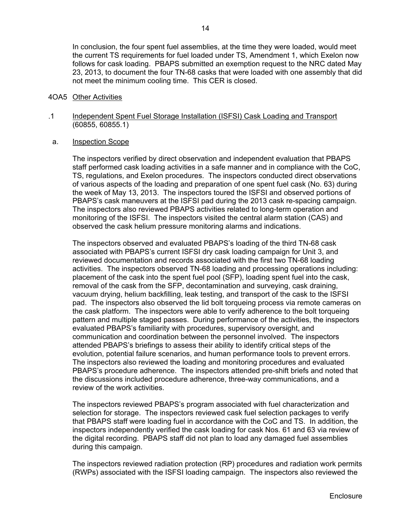In conclusion, the four spent fuel assemblies, at the time they were loaded, would meet the current TS requirements for fuel loaded under TS, Amendment 1, which Exelon now follows for cask loading. PBAPS submitted an exemption request to the NRC dated May 23, 2013, to document the four TN-68 casks that were loaded with one assembly that did not meet the minimum cooling time. This CER is closed.

#### 4OA5 Other Activities

.1 Independent Spent Fuel Storage Installation (ISFSI) Cask Loading and Transport (60855, 60855.1)

#### a. Inspection Scope

The inspectors verified by direct observation and independent evaluation that PBAPS staff performed cask loading activities in a safe manner and in compliance with the CoC, TS, regulations, and Exelon procedures. The inspectors conducted direct observations of various aspects of the loading and preparation of one spent fuel cask (No. 63) during the week of May 13, 2013. The inspectors toured the ISFSI and observed portions of PBAPS's cask maneuvers at the ISFSI pad during the 2013 cask re-spacing campaign. The inspectors also reviewed PBAPS activities related to long-term operation and monitoring of the ISFSI. The inspectors visited the central alarm station (CAS) and observed the cask helium pressure monitoring alarms and indications.

The inspectors observed and evaluated PBAPS's loading of the third TN-68 cask associated with PBAPS's current ISFSI dry cask loading campaign for Unit 3, and reviewed documentation and records associated with the first two TN-68 loading activities. The inspectors observed TN-68 loading and processing operations including: placement of the cask into the spent fuel pool (SFP), loading spent fuel into the cask, removal of the cask from the SFP, decontamination and surveying, cask draining, vacuum drying, helium backfilling, leak testing, and transport of the cask to the ISFSI pad. The inspectors also observed the lid bolt torqueing process via remote cameras on the cask platform. The inspectors were able to verify adherence to the bolt torqueing pattern and multiple staged passes. During performance of the activities, the inspectors evaluated PBAPS's familiarity with procedures, supervisory oversight, and communication and coordination between the personnel involved. The inspectors attended PBAPS's briefings to assess their ability to identify critical steps of the evolution, potential failure scenarios, and human performance tools to prevent errors. The inspectors also reviewed the loading and monitoring procedures and evaluated PBAPS's procedure adherence. The inspectors attended pre-shift briefs and noted that the discussions included procedure adherence, three-way communications, and a review of the work activities.

The inspectors reviewed PBAPS's program associated with fuel characterization and selection for storage. The inspectors reviewed cask fuel selection packages to verify that PBAPS staff were loading fuel in accordance with the CoC and TS. In addition, the inspectors independently verified the cask loading for cask Nos. 61 and 63 via review of the digital recording. PBAPS staff did not plan to load any damaged fuel assemblies during this campaign.

The inspectors reviewed radiation protection (RP) procedures and radiation work permits (RWPs) associated with the ISFSI loading campaign. The inspectors also reviewed the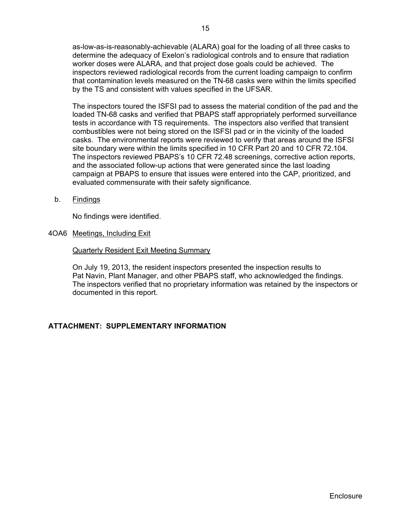as-low-as-is-reasonably-achievable (ALARA) goal for the loading of all three casks to determine the adequacy of Exelon's radiological controls and to ensure that radiation worker doses were ALARA, and that project dose goals could be achieved. The inspectors reviewed radiological records from the current loading campaign to confirm that contamination levels measured on the TN-68 casks were within the limits specified by the TS and consistent with values specified in the UFSAR.

The inspectors toured the ISFSI pad to assess the material condition of the pad and the loaded TN-68 casks and verified that PBAPS staff appropriately performed surveillance tests in accordance with TS requirements. The inspectors also verified that transient combustibles were not being stored on the ISFSI pad or in the vicinity of the loaded casks. The environmental reports were reviewed to verify that areas around the ISFSI site boundary were within the limits specified in 10 CFR Part 20 and 10 CFR 72.104. The inspectors reviewed PBAPS's 10 CFR 72.48 screenings, corrective action reports, and the associated follow-up actions that were generated since the last loading campaign at PBAPS to ensure that issues were entered into the CAP, prioritized, and evaluated commensurate with their safety significance.

b. Findings

No findings were identified.

4OA6 Meetings, Including Exit

#### Quarterly Resident Exit Meeting Summary

On July 19, 2013, the resident inspectors presented the inspection results to Pat Navin, Plant Manager, and other PBAPS staff, who acknowledged the findings. The inspectors verified that no proprietary information was retained by the inspectors or documented in this report.

### **ATTACHMENT: SUPPLEMENTARY INFORMATION**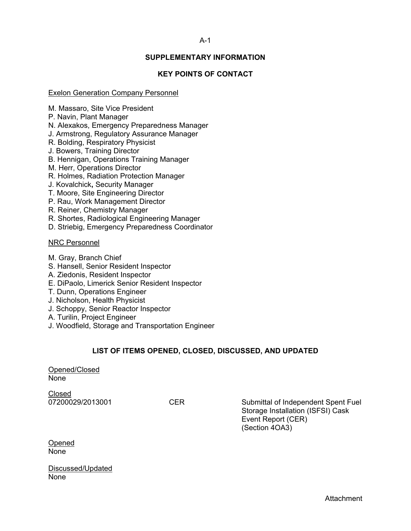## A-1

## **SUPPLEMENTARY INFORMATION**

## **KEY POINTS OF CONTACT**

### Exelon Generation Company Personnel

M. Massaro, Site Vice President

- P. Navin, Plant Manager
- N. Alexakos, Emergency Preparedness Manager
- J. Armstrong, Regulatory Assurance Manager
- R. Bolding, Respiratory Physicist
- J. Bowers, Training Director
- B. Hennigan, Operations Training Manager
- M. Herr, Operations Director
- R. Holmes, Radiation Protection Manager
- J. Kovalchick**,** Security Manager
- T. Moore, Site Engineering Director
- P. Rau, Work Management Director
- R. Reiner, Chemistry Manager
- R. Shortes, Radiological Engineering Manager
- D. Striebig, Emergency Preparedness Coordinator

#### NRC Personnel

- M. Gray, Branch Chief
- S. Hansell, Senior Resident Inspector
- A. Ziedonis, Resident Inspector
- E. DiPaolo, Limerick Senior Resident Inspector
- T. Dunn, Operations Engineer
- J. Nicholson, Health Physicist
- J. Schoppy, Senior Reactor Inspector
- A. Turilin, Project Engineer
- J. Woodfield, Storage and Transportation Engineer

### **LIST OF ITEMS OPENED, CLOSED, DISCUSSED, AND UPDATED**

Opened/Closed None

Closed

07200029/2013001 CER Submittal of Independent Spent Fuel Storage Installation (ISFSI) Cask Event Report (CER) (Section 4OA3)

Opened None

Discussed/Updated None

Attachment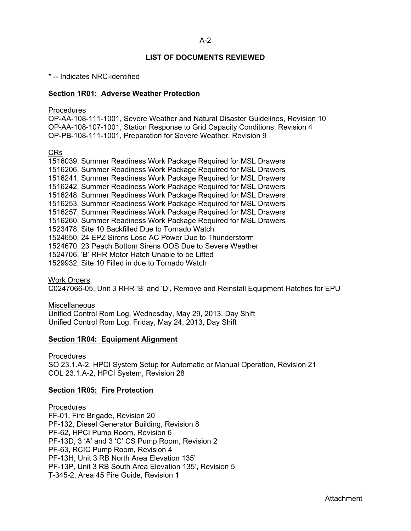## **LIST OF DOCUMENTS REVIEWED**

\* -- Indicates NRC-identified

### **Section 1R01: Adverse Weather Protection**

#### **Procedures**

OP-AA-108-111-1001, Severe Weather and Natural Disaster Guidelines, Revision 10 OP-AA-108-107-1001, Station Response to Grid Capacity Conditions, Revision 4 OP-PB-108-111-1001, Preparation for Severe Weather, Revision 9

CRs

1516039, Summer Readiness Work Package Required for MSL Drawers 1516206, Summer Readiness Work Package Required for MSL Drawers 1516241, Summer Readiness Work Package Required for MSL Drawers 1516242, Summer Readiness Work Package Required for MSL Drawers 1516248, Summer Readiness Work Package Required for MSL Drawers 1516253, Summer Readiness Work Package Required for MSL Drawers 1516257, Summer Readiness Work Package Required for MSL Drawers 1516260, Summer Readiness Work Package Required for MSL Drawers 1523478, Site 10 Backfilled Due to Tornado Watch 1524650, 24 EPZ Sirens Lose AC Power Due to Thunderstorm 1524670, 23 Peach Bottom Sirens OOS Due to Severe Weather 1524706, 'B' RHR Motor Hatch Unable to be Lifted 1529932, Site 10 Filled in due to Tornado Watch

Work Orders C0247066-05, Unit 3 RHR 'B' and 'D', Remove and Reinstall Equipment Hatches for EPU

**Miscellaneous** Unified Control Rom Log, Wednesday, May 29, 2013, Day Shift Unified Control Rom Log, Friday, May 24, 2013, Day Shift

#### **Section 1R04: Equipment Alignment**

Procedures

SO 23.1.A-2, HPCI System Setup for Automatic or Manual Operation, Revision 21 COL 23.1.A-2, HPCI System, Revision 28

### **Section 1R05: Fire Protection**

**Procedures** FF-01, Fire Brigade, Revision 20 PF-132, Diesel Generator Building, Revision 8 PF-62, HPCI Pump Room, Revision 6 PF-13D, 3 'A' and 3 'C' CS Pump Room, Revision 2 PF-63, RCIC Pump Room, Revision 4 PF-13H, Unit 3 RB North Area Elevation 135' PF-13P, Unit 3 RB South Area Elevation 135', Revision 5 T-345-2, Area 45 Fire Guide, Revision 1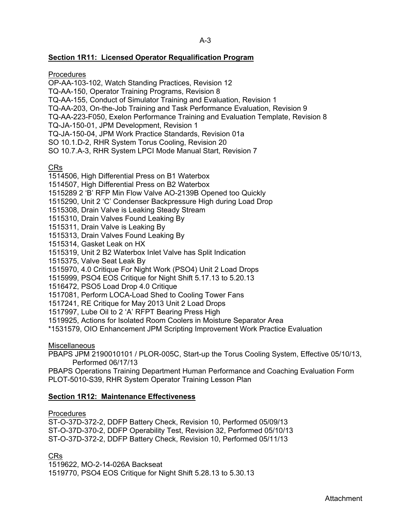## **Section 1R11: Licensed Operator Requalification Program**

**Procedures** 

OP-AA-103-102, Watch Standing Practices, Revision 12

TQ-AA-150, Operator Training Programs, Revision 8

TQ-AA-155, Conduct of Simulator Training and Evaluation, Revision 1

TQ-AA-203, On-the-Job Training and Task Performance Evaluation, Revision 9

TQ-AA-223-F050, Exelon Performance Training and Evaluation Template, Revision 8

TQ-JA-150-01, JPM Development, Revision 1

TQ-JA-150-04, JPM Work Practice Standards, Revision 01a

SO 10.1.D-2, RHR System Torus Cooling, Revision 20

SO 10.7.A-3, RHR System LPCI Mode Manual Start, Revision 7

CRs

1514506, High Differential Press on B1 Waterbox

1514507, High Differential Press on B2 Waterbox

1515289 2 'B' RFP Min Flow Valve AO-2139B Opened too Quickly

1515290, Unit 2 'C' Condenser Backpressure High during Load Drop

1515308, Drain Valve is Leaking Steady Stream

1515310, Drain Valves Found Leaking By

1515311, Drain Valve is Leaking By

1515313, Drain Valves Found Leaking By

1515314, Gasket Leak on HX

1515319, Unit 2 B2 Waterbox Inlet Valve has Split Indication

1515375, Valve Seat Leak By

1515970, 4.0 Critique For Night Work (PSO4) Unit 2 Load Drops

1515999, PSO4 EOS Critique for Night Shift 5.17.13 to 5.20.13

1516472, PSO5 Load Drop 4.0 Critique

1517081, Perform LOCA-Load Shed to Cooling Tower Fans

1517241, RE Critique for May 2013 Unit 2 Load Drops

1517997, Lube Oil to 2 'A' RFPT Bearing Press High

1519925, Actions for Isolated Room Coolers in Moisture Separator Area

\*1531579, OIO Enhancement JPM Scripting Improvement Work Practice Evaluation

**Miscellaneous** 

PBAPS JPM 2190010101 / PLOR-005C, Start-up the Torus Cooling System, Effective 05/10/13, Performed 06/17/13

PBAPS Operations Training Department Human Performance and Coaching Evaluation Form PLOT-5010-S39, RHR System Operator Training Lesson Plan

# **Section 1R12: Maintenance Effectiveness**

Procedures

ST-O-37D-372-2, DDFP Battery Check, Revision 10, Performed 05/09/13 ST-O-37D-370-2, DDFP Operability Test, Revision 32, Performed 05/10/13 ST-O-37D-372-2, DDFP Battery Check, Revision 10, Performed 05/11/13

CRs

1519622, MO-2-14-026A Backseat 1519770, PSO4 EOS Critique for Night Shift 5.28.13 to 5.30.13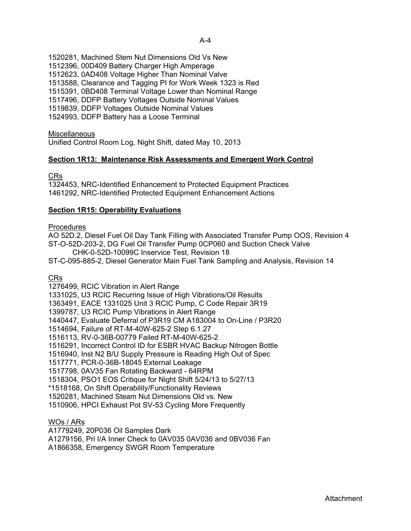A-4

1520281, Machined Stem Nut Dimensions Old Vs New 1512396, 00D409 Battery Charger High Amperage 1512623, 0AD408 Voltage Higher Than Nominal Valve 1513588, Clearance and Tagging PI for Work Week 1323 is Red 1515391, 0BD408 Terminal Voltage Lower than Nominal Range 1517496, DDFP Battery Voltages Outside Nominal Values 1519839, DDFP Voltages Outside Nominal Values 1524993, DDFP Battery has a Loose Terminal

## **Miscellaneous**

Unified Control Room Log, Night Shift, dated May 10, 2013

## **Section 1R13: Maintenance Risk Assessments and Emergent Work Control**

CRs

1324453, NRC-Identified Enhancement to Protected Equipment Practices 1461292, NRC-Identified Protected Equipment Enhancement Actions

## **Section 1R15: Operability Evaluations**

### **Procedures**

AO 52D.2, Diesel Fuel Oil Day Tank Filling with Associated Transfer Pump OOS, Revision 4 ST-O-52D-203-2, DG Fuel Oil Transfer Pump 0CP060 and Suction Check Valve

CHK-0-52D-10099C Inservice Test, Revision 18

ST-C-095-885-2, Diesel Generator Main Fuel Tank Sampling and Analysis, Revision 14

### CRs

1276499, RCIC Vibration in Alert Range

1331025, U3 RCIC Recurring Issue of High Vibrations/Oil Results

1363491, EACE 1331025 Unit 3 RCIC Pump, C Code Repair 3R19

1399787, U3 RCIC Pump Vibrations in Alert Range

1440447, Evaluate Deferral of P3R19 CM A183004 to On-Line / P3R20

1514694, Failure of RT-M-40W-625-2 Step 6.1.27

1516113, RV-0-36B-00779 Failed RT-M-40W-625-2

1516291, Incorrect Control ID for ESBR HVAC Backup Nitrogen Bottle

1516940, Inst N2 B/U Supply Pressure is Reading High Out of Spec

1517771, PCR-0-36B-18045 External Leakage

1517798, 0AV35 Fan Rotating Backward - 64RPM

1518304, PSO1 EOS Critique for Night Shift 5/24/13 to 5/27/13

\*1518168, On Shift Operability/Functionality Reviews

1520281, Machined Steam Nut Dimensions Old vs. New

1510906, HPCI Exhaust Pot SV-53 Cycling More Frequently

## WOs / ARs

A1779249, 20P036 Oil Samples Dark

A1279156, Pri I/A Inner Check to 0AV035 0AV036 and 0BV036 Fan

A1866358, Emergency SWGR Room Temperature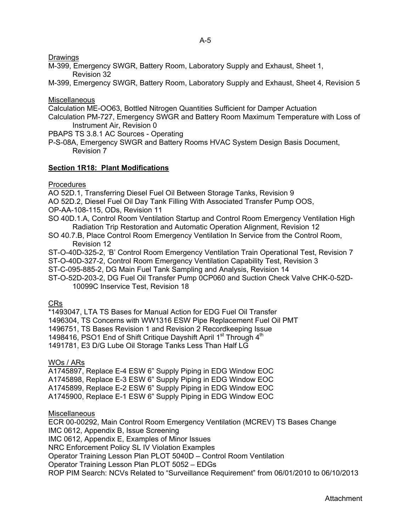**Drawings** 

M-399, Emergency SWGR, Battery Room, Laboratory Supply and Exhaust, Sheet 1, Revision 32

M-399, Emergency SWGR, Battery Room, Laboratory Supply and Exhaust, Sheet 4, Revision 5

**Miscellaneous** 

Calculation ME-OO63, Bottled Nitrogen Quantities Sufficient for Damper Actuation

Calculation PM-727, Emergency SWGR and Battery Room Maximum Temperature with Loss of Instrument Air, Revision 0

PBAPS TS 3.8.1 AC Sources - Operating

P-S-08A, Emergency SWGR and Battery Rooms HVAC System Design Basis Document, Revision 7

## **Section 1R18: Plant Modifications**

**Procedures** 

AO 52D.1, Transferring Diesel Fuel Oil Between Storage Tanks, Revision 9

- AO 52D.2, Diesel Fuel Oil Day Tank Filling With Associated Transfer Pump OOS,
- OP-AA-108-115, ODs, Revision 11
- SO 40D.1.A, Control Room Ventilation Startup and Control Room Emergency Ventilation High Radiation Trip Restoration and Automatic Operation Alignment, Revision 12
- SO 40.7.B, Place Control Room Emergency Ventilation In Service from the Control Room, Revision 12
- ST-O-40D-325-2, 'B' Control Room Emergency Ventilation Train Operational Test, Revision 7
- ST-O-40D-327-2, Control Room Emergency Ventilation Capability Test, Revision 3

ST-C-095-885-2, DG Main Fuel Tank Sampling and Analysis, Revision 14

ST-O-52D-203-2, DG Fuel Oil Transfer Pump 0CP060 and Suction Check Valve CHK-0-52D-10099C Inservice Test, Revision 18

CRs

\*1493047, LTA TS Bases for Manual Action for EDG Fuel Oil Transfer

1496304, TS Concerns with WW1316 ESW Pipe Replacement Fuel Oil PMT

1496751, TS Bases Revision 1 and Revision 2 Recordkeeping Issue

1498416, PSO1 End of Shift Critique Dayshift April 1<sup>st</sup> Through 4<sup>th</sup>

1491781, E3 D/G Lube Oil Storage Tanks Less Than Half LG

# WOs / ARs

A1745897, Replace E-4 ESW 6" Supply Piping in EDG Window EOC A1745898, Replace E-3 ESW 6" Supply Piping in EDG Window EOC A1745899, Replace E-2 ESW 6" Supply Piping in EDG Window EOC A1745900, Replace E-1 ESW 6" Supply Piping in EDG Window EOC

## **Miscellaneous**

ECR 00-00292, Main Control Room Emergency Ventilation (MCREV) TS Bases Change IMC 0612, Appendix B, Issue Screening IMC 0612, Appendix E, Examples of Minor Issues NRC Enforcement Policy SL IV Violation Examples Operator Training Lesson Plan PLOT 5040D – Control Room Ventilation Operator Training Lesson Plan PLOT 5052 – EDGs ROP PIM Search: NCVs Related to "Surveillance Requirement" from 06/01/2010 to 06/10/2013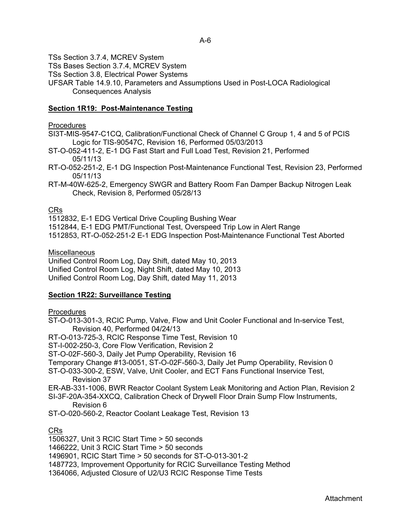TSs Section 3.7.4, MCREV System

TSs Bases Section 3.7.4, MCREV System

TSs Section 3.8, Electrical Power Systems

UFSAR Table 14.9.10, Parameters and Assumptions Used in Post-LOCA Radiological Consequences Analysis

# **Section 1R19: Post-Maintenance Testing**

## **Procedures**

SI3T-MIS-9547-C1CQ, Calibration/Functional Check of Channel C Group 1, 4 and 5 of PCIS Logic for TIS-90547C, Revision 16, Performed 05/03/2013

- ST-O-052-411-2, E-1 DG Fast Start and Full Load Test, Revision 21, Performed 05/11/13
- RT-O-052-251-2, E-1 DG Inspection Post-Maintenance Functional Test, Revision 23, Performed 05/11/13
- RT-M-40W-625-2, Emergency SWGR and Battery Room Fan Damper Backup Nitrogen Leak Check, Revision 8, Performed 05/28/13

## CRs

1512832, E-1 EDG Vertical Drive Coupling Bushing Wear

1512844, E-1 EDG PMT/Functional Test, Overspeed Trip Low in Alert Range

1512853, RT-O-052-251-2 E-1 EDG Inspection Post-Maintenance Functional Test Aborted

## **Miscellaneous**

Unified Control Room Log, Day Shift, dated May 10, 2013 Unified Control Room Log, Night Shift, dated May 10, 2013 Unified Control Room Log, Day Shift, dated May 11, 2013

## **Section 1R22: Surveillance Testing**

## **Procedures**

ST-O-013-301-3, RCIC Pump, Valve, Flow and Unit Cooler Functional and In-service Test, Revision 40, Performed 04/24/13

RT-O-013-725-3, RCIC Response Time Test, Revision 10

ST-I-002-250-3, Core Flow Verification, Revision 2

ST-O-02F-560-3, Daily Jet Pump Operability, Revision 16

Temporary Change #13-0051, ST-O-02F-560-3, Daily Jet Pump Operability, Revision 0

ST-O-033-300-2, ESW, Valve, Unit Cooler, and ECT Fans Functional Inservice Test, Revision 37

ER-AB-331-1006, BWR Reactor Coolant System Leak Monitoring and Action Plan, Revision 2

- SI-3F-20A-354-XXCQ, Calibration Check of Drywell Floor Drain Sump Flow Instruments, Revision 6
- ST-O-020-560-2, Reactor Coolant Leakage Test, Revision 13

# CRs

1506327, Unit 3 RCIC Start Time > 50 seconds

1466222, Unit 3 RCIC Start Time > 50 seconds

1496901, RCIC Start Time > 50 seconds for ST-O-013-301-2

- 1487723, Improvement Opportunity for RCIC Surveillance Testing Method
- 1364066, Adjusted Closure of U2/U3 RCIC Response Time Tests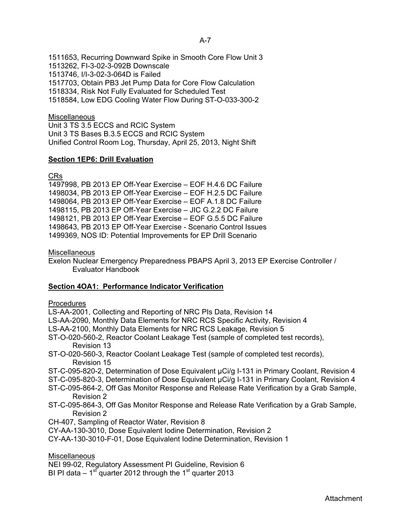A-7

1511653, Recurring Downward Spike in Smooth Core Flow Unit 3 1513262, FI-3-02-3-092B Downscale 1513746, I/I-3-02-3-064D is Failed 1517703, Obtain PB3 Jet Pump Data for Core Flow Calculation 1518334, Risk Not Fully Evaluated for Scheduled Test 1518584, Low EDG Cooling Water Flow During ST-O-033-300-2

## **Miscellaneous**

Unit 3 TS 3.5 ECCS and RCIC System Unit 3 TS Bases B.3.5 ECCS and RCIC System Unified Control Room Log, Thursday, April 25, 2013, Night Shift

## **Section 1EP6: Drill Evaluation**

## CRs

1497998, PB 2013 EP Off-Year Exercise – EOF H.4.6 DC Failure 1498034, PB 2013 EP Off-Year Exercise – EOF H.2.5 DC Failure 1498064, PB 2013 EP Off-Year Exercise – EOF A.1.8 DC Failure 1498115, PB 2013 EP Off-Year Exercise – JIC G.2.2 DC Failure 1498121, PB 2013 EP Off-Year Exercise – EOF G.5.5 DC Failure 1498643, PB 2013 EP Off-Year Exercise - Scenario Control Issues 1499369, NOS ID: Potential Improvements for EP Drill Scenario

## **Miscellaneous**

Exelon Nuclear Emergency Preparedness PBAPS April 3, 2013 EP Exercise Controller / Evaluator Handbook

### **Section 4OA1: Performance Indicator Verification**

### **Procedures**

- LS-AA-2001, Collecting and Reporting of NRC PIs Data, Revision 14
- LS-AA-2090, Monthly Data Elements for NRC RCS Specific Activity, Revision 4
- LS-AA-2100, Monthly Data Elements for NRC RCS Leakage, Revision 5
- ST-O-020-560-2, Reactor Coolant Leakage Test (sample of completed test records), Revision 13
- ST-O-020-560-3, Reactor Coolant Leakage Test (sample of completed test records), Revision 15
- ST-C-095-820-2, Determination of Dose Equivalent µCi/g I-131 in Primary Coolant, Revision 4
- ST-C-095-820-3, Determination of Dose Equivalent µCi/g I-131 in Primary Coolant, Revision 4
- ST-C-095-864-2, Off Gas Monitor Response and Release Rate Verification by a Grab Sample, Revision 2
- ST-C-095-864-3, Off Gas Monitor Response and Release Rate Verification by a Grab Sample, Revision 2
- CH-407, Sampling of Reactor Water, Revision 8
- CY-AA-130-3010, Dose Equivalent Iodine Determination, Revision 2
- CY-AA-130-3010-F-01, Dose Equivalent Iodine Determination, Revision 1

### **Miscellaneous**

- NEI 99-02, Regulatory Assessment PI Guideline, Revision 6
- BI PI data  $-1$ <sup>st</sup> quarter 2012 through the 1<sup>st</sup> quarter 2013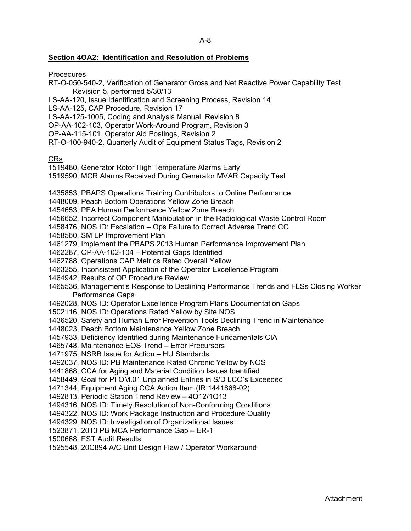## **Section 4OA2: Identification and Resolution of Problems**

**Procedures** 

- RT-O-050-540-2, Verification of Generator Gross and Net Reactive Power Capability Test, Revision 5, performed 5/30/13
- LS-AA-120, Issue Identification and Screening Process, Revision 14
- LS-AA-125, CAP Procedure, Revision 17
- LS-AA-125-1005, Coding and Analysis Manual, Revision 8
- OP-AA-102-103, Operator Work-Around Program, Revision 3
- OP-AA-115-101, Operator Aid Postings, Revision 2
- RT-O-100-940-2, Quarterly Audit of Equipment Status Tags, Revision 2

CRs

- 1519480, Generator Rotor High Temperature Alarms Early
- 1519590, MCR Alarms Received During Generator MVAR Capacity Test
- 1435853, PBAPS Operations Training Contributors to Online Performance
- 1448009, Peach Bottom Operations Yellow Zone Breach
- 1454653, PEA Human Performance Yellow Zone Breach
- 1456652, Incorrect Component Manipulation in the Radiological Waste Control Room
- 1458476, NOS ID: Escalation Ops Failure to Correct Adverse Trend CC
- 1458560, SM LP Improvement Plan
- 1461279, Implement the PBAPS 2013 Human Performance Improvement Plan
- 1462287, OP-AA-102-104 Potential Gaps Identified
- 1462788, Operations CAP Metrics Rated Overall Yellow
- 1463255, Inconsistent Application of the Operator Excellence Program
- 1464942, Results of OP Procedure Review
- 1465536, Management's Response to Declining Performance Trends and FLSs Closing Worker Performance Gaps
- 1492028, NOS ID: Operator Excellence Program Plans Documentation Gaps
- 1502116, NOS ID: Operations Rated Yellow by Site NOS
- 1436520, Safety and Human Error Prevention Tools Declining Trend in Maintenance
- 1448023, Peach Bottom Maintenance Yellow Zone Breach
- 1457933, Deficiency Identified during Maintenance Fundamentals CIA
- 1465748, Maintenance EOS Trend Error Precursors
- 1471975, NSRB Issue for Action HU Standards
- 1492037, NOS ID: PB Maintenance Rated Chronic Yellow by NOS
- 1441868, CCA for Aging and Material Condition Issues Identified
- 1458449, Goal for PI OM.01 Unplanned Entries in S/D LCO's Exceeded
- 1471344, Equipment Aging CCA Action Item (IR 1441868-02)
- 1492813, Periodic Station Trend Review 4Q12/1Q13
- 1494316, NOS ID: Timely Resolution of Non-Conforming Conditions
- 1494322, NOS ID: Work Package Instruction and Procedure Quality
- 1494329, NOS ID: Investigation of Organizational Issues
- 1523871, 2013 PB MCA Performance Gap ER-1
- 1500668, EST Audit Results
- 1525548, 20C894 A/C Unit Design Flaw / Operator Workaround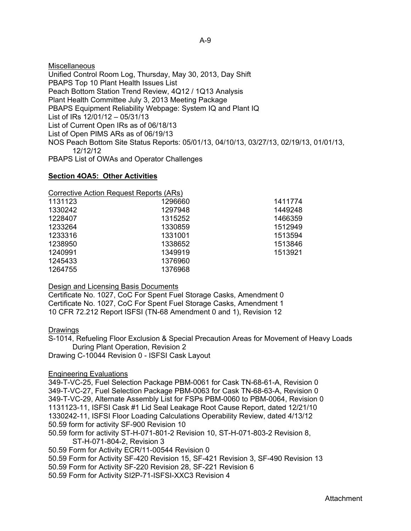**Miscellaneous** Unified Control Room Log, Thursday, May 30, 2013, Day Shift PBAPS Top 10 Plant Health Issues List Peach Bottom Station Trend Review, 4Q12 / 1Q13 Analysis Plant Health Committee July 3, 2013 Meeting Package PBAPS Equipment Reliability Webpage: System IQ and Plant IQ List of IRs 12/01/12 – 05/31/13 List of Current Open IRs as of 06/18/13 List of Open PIMS ARs as of 06/19/13 NOS Peach Bottom Site Status Reports: 05/01/13, 04/10/13, 03/27/13, 02/19/13, 01/01/13, 12/12/12 PBAPS List of OWAs and Operator Challenges

### **Section 4OA5: Other Activities**

Corrective Action Request Reports (ARs)

| 1131123 | 1296660 | 1411774 |
|---------|---------|---------|
| 1330242 | 1297948 | 1449248 |
| 1228407 | 1315252 | 1466359 |
| 1233264 | 1330859 | 1512949 |
| 1233316 | 1331001 | 1513594 |
| 1238950 | 1338652 | 1513846 |
| 1240991 | 1349919 | 1513921 |
| 1245433 | 1376960 |         |
| 1264755 | 1376968 |         |

### Design and Licensing Basis Documents

Certificate No. 1027, CoC For Spent Fuel Storage Casks, Amendment 0 Certificate No. 1027, CoC For Spent Fuel Storage Casks, Amendment 1 10 CFR 72.212 Report ISFSI (TN-68 Amendment 0 and 1), Revision 12

### Drawings

S-1014, Refueling Floor Exclusion & Special Precaution Areas for Movement of Heavy Loads During Plant Operation, Revision 2

Drawing C-10044 Revision 0 - ISFSI Cask Layout

## Engineering Evaluations

349-T-VC-25, Fuel Selection Package PBM-0061 for Cask TN-68-61-A, Revision 0 349-T-VC-27, Fuel Selection Package PBM-0063 for Cask TN-68-63-A, Revision 0 349-T-VC-29, Alternate Assembly List for FSPs PBM-0060 to PBM-0064, Revision 0 1131123-11, ISFSI Cask #1 Lid Seal Leakage Root Cause Report, dated 12/21/10 1330242-11, ISFSI Floor Loading Calculations Operability Review, dated 4/13/12 50.59 form for activity SF-900 Revision 10 50.59 form for activity ST-H-071-801-2 Revision 10, ST-H-071-803-2 Revision 8,

ST-H-071-804-2, Revision 3

50.59 Form for Activity ECR/11-00544 Revision 0

50.59 Form for Activity SF-420 Revision 15, SF-421 Revision 3, SF-490 Revision 13

50.59 Form for Activity SF-220 Revision 28, SF-221 Revision 6

50.59 Form for Activity SI2P-71-ISFSI-XXC3 Revision 4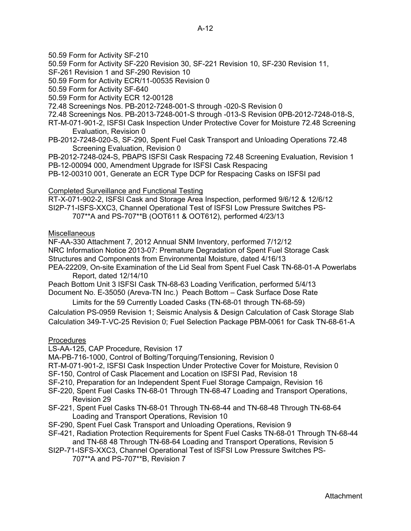50.59 Form for Activity SF-210

50.59 Form for Activity SF-220 Revision 30, SF-221 Revision 10, SF-230 Revision 11,

SF-261 Revision 1 and SF-290 Revision 10

50.59 Form for Activity ECR/11-00535 Revision 0

50.59 Form for Activity SF-640

50.59 Form for Activity ECR 12-00128

72.48 Screenings Nos. PB-2012-7248-001-S through -020-S Revision 0

- 72.48 Screenings Nos. PB-2013-7248-001-S through -013-S Revision 0PB-2012-7248-018-S,
- RT-M-071-901-2, ISFSI Cask Inspection Under Protective Cover for Moisture 72.48 Screening Evaluation, Revision 0
- PB-2012-7248-020-S, SF-290, Spent Fuel Cask Transport and Unloading Operations 72.48 Screening Evaluation, Revision 0

PB-2012-7248-024-S, PBAPS ISFSI Cask Respacing 72.48 Screening Evaluation, Revision 1 PB-12-00094 000, Amendment Upgrade for ISFSI Cask Respacing

PB-12-00310 001, Generate an ECR Type DCP for Respacing Casks on ISFSI pad

## Completed Surveillance and Functional Testing

RT-X-071-902-2, ISFSI Cask and Storage Area Inspection, performed 9/6/12 & 12/6/12 SI2P-71-ISFS-XXC3, Channel Operational Test of ISFSI Low Pressure Switches PS- 707\*\*A and PS-707\*\*B (OOT611 & OOT612), performed 4/23/13

## **Miscellaneous**

NF-AA-330 Attachment 7, 2012 Annual SNM Inventory, performed 7/12/12 NRC Information Notice 2013-07: Premature Degradation of Spent Fuel Storage Cask Structures and Components from Environmental Moisture, dated 4/16/13 PEA-22209, On-site Examination of the Lid Seal from Spent Fuel Cask TN-68-01-A Powerlabs

 Report, dated 12/14/10 Peach Bottom Unit 3 ISFSI Cask TN-68-63 Loading Verification, performed 5/4/13 Document No. E-35050 (Areva-TN Inc.) Peach Bottom – Cask Surface Dose Rate

Limits for the 59 Currently Loaded Casks (TN-68-01 through TN-68-59) Calculation PS-0959 Revision 1; Seismic Analysis & Design Calculation of Cask Storage Slab Calculation 349-T-VC-25 Revision 0; Fuel Selection Package PBM-0061 for Cask TN-68-61-A

### **Procedures**

LS-AA-125, CAP Procedure, Revision 17

MA-PB-716-1000, Control of Bolting/Torquing/Tensioning, Revision 0

RT-M-071-901-2, ISFSI Cask Inspection Under Protective Cover for Moisture, Revision 0

SF-150, Control of Cask Placement and Location on ISFSI Pad, Revision 18

- SF-210, Preparation for an Independent Spent Fuel Storage Campaign, Revision 16
- SF-220, Spent Fuel Casks TN-68-01 Through TN-68-47 Loading and Transport Operations, Revision 29
- SF-221, Spent Fuel Casks TN-68-01 Through TN-68-44 and TN-68-48 Through TN-68-64 Loading and Transport Operations, Revision 10
- SF-290, Spent Fuel Cask Transport and Unloading Operations, Revision 9
- SF-421, Radiation Protection Requirements for Spent Fuel Casks TN-68-01 Through TN-68-44 and TN-68 48 Through TN-68-64 Loading and Transport Operations, Revision 5
- SI2P-71-ISFS-XXC3, Channel Operational Test of ISFSI Low Pressure Switches PS- 707\*\*A and PS-707\*\*B, Revision 7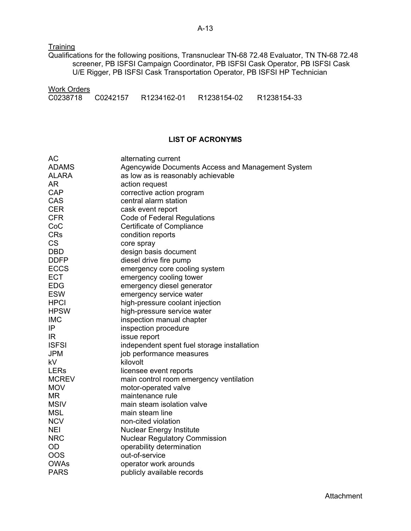**Training** 

Qualifications for the following positions, Transnuclear TN-68 72.48 Evaluator, TN TN-68 72.48 screener, PB ISFSI Campaign Coordinator, PB ISFSI Cask Operator, PB ISFSI Cask U/E Rigger, PB ISFSI Cask Transportation Operator, PB ISFSI HP Technician

| <b>Work Orders</b> |             |             |             |
|--------------------|-------------|-------------|-------------|
| C0238718 C0242157  | R1234162-01 | R1238154-02 | R1238154-33 |

## **LIST OF ACRONYMS**

| <b>AC</b>    | alternating current                               |
|--------------|---------------------------------------------------|
| <b>ADAMS</b> | Agencywide Documents Access and Management System |
| <b>ALARA</b> | as low as is reasonably achievable                |
| <b>AR</b>    | action request                                    |
| <b>CAP</b>   | corrective action program                         |
| CAS          | central alarm station                             |
| <b>CER</b>   | cask event report                                 |
| <b>CFR</b>   | <b>Code of Federal Regulations</b>                |
| CoC          | Certificate of Compliance                         |
| <b>CRs</b>   | condition reports                                 |
| <b>CS</b>    | core spray                                        |
| <b>DBD</b>   | design basis document                             |
| <b>DDFP</b>  | diesel drive fire pump                            |
| <b>ECCS</b>  | emergency core cooling system                     |
| <b>ECT</b>   | emergency cooling tower                           |
| <b>EDG</b>   | emergency diesel generator                        |
| <b>ESW</b>   | emergency service water                           |
| <b>HPCI</b>  | high-pressure coolant injection                   |
| <b>HPSW</b>  | high-pressure service water                       |
| <b>IMC</b>   | inspection manual chapter                         |
| IP           | inspection procedure                              |
| IR           | issue report                                      |
| <b>ISFSI</b> | independent spent fuel storage installation       |
| <b>JPM</b>   | job performance measures                          |
| kV           | kilovolt                                          |
| <b>LERs</b>  | licensee event reports                            |
| <b>MCREV</b> | main control room emergency ventilation           |
| <b>MOV</b>   | motor-operated valve                              |
| <b>MR</b>    | maintenance rule                                  |
| <b>MSIV</b>  | main steam isolation valve                        |
| <b>MSL</b>   | main steam line                                   |
| <b>NCV</b>   | non-cited violation                               |
| <b>NEI</b>   | <b>Nuclear Energy Institute</b>                   |
| <b>NRC</b>   | <b>Nuclear Regulatory Commission</b>              |
| OD           | operability determination                         |
| <b>OOS</b>   | out-of-service                                    |
| <b>OWAs</b>  | operator work arounds                             |
| <b>PARS</b>  | publicly available records                        |